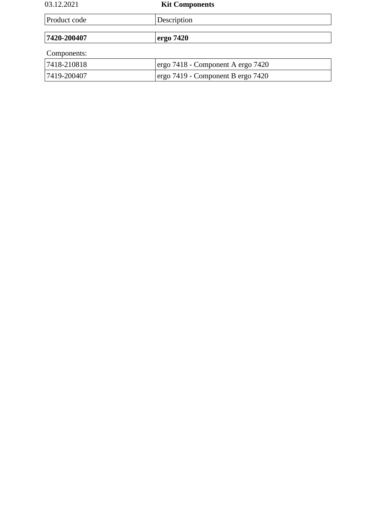| 03.12.2021   | <b>Kit Components</b>             |
|--------------|-----------------------------------|
| Product code | Description                       |
|              |                                   |
| 7420-200407  | ergo 7420                         |
| Components:  |                                   |
| 7418-210818  | ergo 7418 - Component A ergo 7420 |
| 7419-200407  | ergo 7419 - Component B ergo 7420 |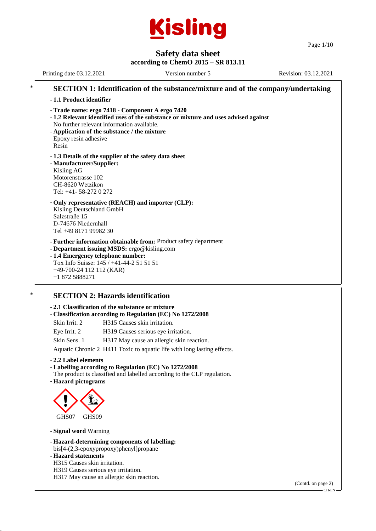

Page 1/10

# **Safety data sheet**

### **according to ChemO 2015 – SR 813.11**

Printing date 03.12.2021 Version number 5 Revision: 03.12.2021 **SECTION 1: Identification of the substance/mixture and of the company/undertaking** - **1.1 Product identifier** - **Trade name: ergo 7418 - Component A ergo 7420** - **1.2 Relevant identified uses of the substance or mixture and uses advised against** No further relevant information available. - **Application of the substance / the mixture** Epoxy resin adhesive Resin - **1.3 Details of the supplier of the safety data sheet** - **Manufacturer/Supplier:** Kisling AG Motorenstrasse 102 CH-8620 Wetzikon Tel: +41- 58-272 0 272 - **Only representative (REACH) and importer (CLP):** Kisling Deutschland GmbH Salzstraße 15 D-74676 Niedernhall Tel +49 8171 99982 30 - **Further information obtainable from:** Product safety department - **Department issuing MSDS:** ergo@kisling.com - **1.4 Emergency telephone number:** Tox Info Suisse: 145 / +41-44-2 51 51 51 +49-700-24 112 112 (KAR) +1 872 5888271 **SECTION 2: Hazards identification** 

# - **2.1 Classification of the substance or mixture** - **Classification according to Regulation (EC) No 1272/2008** Skin Irrit. 2 H315 Causes skin irritation. Eye Irrit. 2 H319 Causes serious eye irritation. Skin Sens. 1 H317 May cause an allergic skin reaction. Aquatic Chronic 2 H411 Toxic to aquatic life with long lasting effects. - **2.2 Label elements** - **Labelling according to Regulation (EC) No 1272/2008** The product is classified and labelled according to the CLP regulation. - **Hazard pictograms**  $\langle \cdot \rangle$ GHS<sub>07</sub> **designal** GHS<sub>09</sub>

- **Signal word** Warning

- **Hazard-determining components of labelling:** bis[4-(2,3-epoxypropoxy)phenyl]propane

- **Hazard statements**

H315 Causes skin irritation.

H319 Causes serious eye irritation.

H317 May cause an allergic skin reaction.

(Contd. on page 2)

CH-EN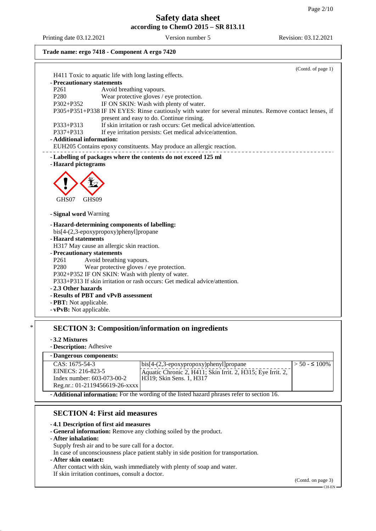Printing date 03.12.2021 Version number 5 Revision: 03.12.2021

# **Trade name: ergo 7418 - Component A ergo 7420**

|                                                   | (Contd. of page 1)                                                                                            |
|---------------------------------------------------|---------------------------------------------------------------------------------------------------------------|
|                                                   | H411 Toxic to aquatic life with long lasting effects.                                                         |
| - Precautionary statements                        |                                                                                                               |
| P <sub>261</sub>                                  | Avoid breathing vapours.                                                                                      |
| P <sub>280</sub>                                  | Wear protective gloves / eye protection.                                                                      |
| $P302 + P352$                                     | IF ON SKIN: Wash with plenty of water.                                                                        |
|                                                   | P305+P351+P338 IF IN EYES: Rinse cautiously with water for several minutes. Remove contact lenses, if         |
| P333+P313                                         | present and easy to do. Continue rinsing.<br>If skin irritation or rash occurs: Get medical advice/attention. |
| P337+P313                                         | If eye irritation persists: Get medical advice/attention.                                                     |
| - Additional information:                         |                                                                                                               |
|                                                   | EUH205 Contains epoxy constituents. May produce an allergic reaction.                                         |
|                                                   |                                                                                                               |
| - Hazard pictograms                               | - Labelling of packages where the contents do not exceed 125 ml                                               |
|                                                   |                                                                                                               |
|                                                   |                                                                                                               |
|                                                   |                                                                                                               |
|                                                   |                                                                                                               |
|                                                   |                                                                                                               |
| GHS07<br>GHS <sub>09</sub>                        |                                                                                                               |
|                                                   |                                                                                                               |
|                                                   |                                                                                                               |
| - Signal word Warning                             | - Hazard-determining components of labelling:<br>bis[4-(2,3-epoxypropoxy)phenyl]propane                       |
| - Hazard statements                               |                                                                                                               |
|                                                   | H317 May cause an allergic skin reaction.                                                                     |
| - Precautionary statements                        |                                                                                                               |
| P <sub>261</sub>                                  | Avoid breathing vapours.                                                                                      |
| P <sub>280</sub>                                  | Wear protective gloves / eye protection.                                                                      |
|                                                   | P302+P352 IF ON SKIN: Wash with plenty of water.                                                              |
|                                                   | P333+P313 If skin irritation or rash occurs: Get medical advice/attention.                                    |
|                                                   |                                                                                                               |
| -2.3 Other hazards                                | - Results of PBT and vPvB assessment                                                                          |
| - PBT: Not applicable.<br>- vPvB: Not applicable. |                                                                                                               |

# \* **SECTION 3: Composition/information on ingredients**

- **3.2 Mixtures**
- **Description:** Adhesive

#### - **Dangerous components:**

| <b>Danger</b> out components.                                                            |                                                                      |                      |
|------------------------------------------------------------------------------------------|----------------------------------------------------------------------|----------------------|
| $CAS: 1675-54-3$                                                                         | $\big[ \text{bis}[4-(2,3-\text{epoxypropoxy})\text{phenyl}]$ propane | $>$ 50 - $\leq$ 100% |
| EINECS: 216-823-5                                                                        | Aquatic Chronic 2, H411; Skin Irrit. 2, H315; Eye Irrit. 2,          |                      |
| Index number: $603-073-00-2$                                                             | H319; Skin Sens. 1, H317                                             |                      |
| Reg.nr.: 01-2119456619-26-xxxx                                                           |                                                                      |                      |
| Additional information: For the wording of the listed begard phrases refer to section 16 |                                                                      |                      |

- **Additional information:** For the wording of the listed hazard phrases refer to section 16.

## **SECTION 4: First aid measures**

## - **4.1 Description of first aid measures**

- **General information:** Remove any clothing soiled by the product.

#### - **After inhalation:**

Supply fresh air and to be sure call for a doctor.

In case of unconsciousness place patient stably in side position for transportation.

#### - **After skin contact:**

After contact with skin, wash immediately with plenty of soap and water.

If skin irritation continues, consult a doctor.

(Contd. on page 3)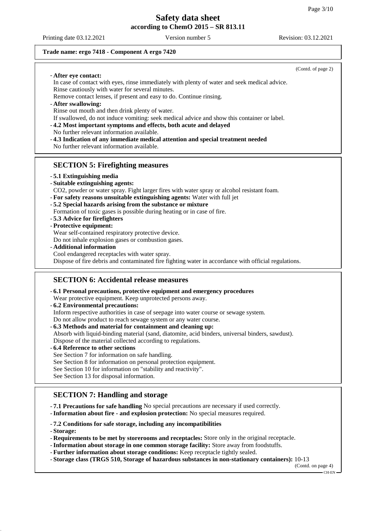### **Trade name: ergo 7418 - Component A ergo 7420**

|                                                                                                                                                                         | (Contd. of page 2) |
|-------------------------------------------------------------------------------------------------------------------------------------------------------------------------|--------------------|
| - After eye contact:<br>In case of contact with eyes, rinse immediately with plenty of water and seek medical advice.                                                   |                    |
| Rinse cautiously with water for several minutes.                                                                                                                        |                    |
| Remove contact lenses, if present and easy to do. Continue rinsing.                                                                                                     |                    |
| - After swallowing:                                                                                                                                                     |                    |
| Rinse out mouth and then drink plenty of water.                                                                                                                         |                    |
| If swallowed, do not induce vomiting: seek medical advice and show this container or label.<br>-4.2 Most important symptoms and effects, both acute and delayed         |                    |
| No further relevant information available.                                                                                                                              |                    |
| -4.3 Indication of any immediate medical attention and special treatment needed                                                                                         |                    |
| No further relevant information available.                                                                                                                              |                    |
|                                                                                                                                                                         |                    |
| <b>SECTION 5: Firefighting measures</b>                                                                                                                                 |                    |
| - 5.1 Extinguishing media                                                                                                                                               |                    |
| - Suitable extinguishing agents:                                                                                                                                        |                    |
| CO2, powder or water spray. Fight larger fires with water spray or alcohol resistant foam.<br>- For safety reasons unsuitable extinguishing agents: Water with full jet |                    |
| - 5.2 Special hazards arising from the substance or mixture                                                                                                             |                    |
| Formation of toxic gases is possible during heating or in case of fire.                                                                                                 |                    |
| -5.3 Advice for firefighters                                                                                                                                            |                    |
| - Protective equipment:                                                                                                                                                 |                    |
| Wear self-contained respiratory protective device.<br>Do not inhale explosion gases or combustion gases.                                                                |                    |
| - Additional information                                                                                                                                                |                    |
| Cool endangered receptacles with water spray.                                                                                                                           |                    |
| Dispose of fire debris and contaminated fire fighting water in accordance with official regulations.                                                                    |                    |
| <b>SECTION 6: Accidental release measures</b>                                                                                                                           |                    |
|                                                                                                                                                                         |                    |
| - 6.1 Personal precautions, protective equipment and emergency procedures                                                                                               |                    |
| Wear protective equipment. Keep unprotected persons away.<br>- 6.2 Environmental precautions:                                                                           |                    |
| Inform respective authorities in case of seepage into water course or sewage system.                                                                                    |                    |
| Do not allow product to reach sewage system or any water course.                                                                                                        |                    |
| - 6.3 Methods and material for containment and cleaning up:                                                                                                             |                    |
| Absorb with liquid-binding material (sand, diatomite, acid binders, universal binders, sawdust).                                                                        |                    |
| Dispose of the material collected according to regulations.<br>-6.4 Reference to other sections                                                                         |                    |
| See Section 7 for information on safe handling.                                                                                                                         |                    |

See Section 8 for information on personal protection equipment.

See Section 10 for information on "stability and reactivity".

See Section 13 for disposal information.

## **SECTION 7: Handling and storage**

- **7.1 Precautions for safe handling** No special precautions are necessary if used correctly.

- **Information about fire - and explosion protection:** No special measures required.

- **7.2 Conditions for safe storage, including any incompatibilities**

- **Storage:**

- **Requirements to be met by storerooms and receptacles:** Store only in the original receptacle.
- **Information about storage in one common storage facility:** Store away from foodstuffs.
- **Further information about storage conditions:** Keep receptacle tightly sealed.
- **Storage class (TRGS 510, Storage of hazardous substances in non-stationary containers):** 10-13

(Contd. on page 4)  $-$  CH-EN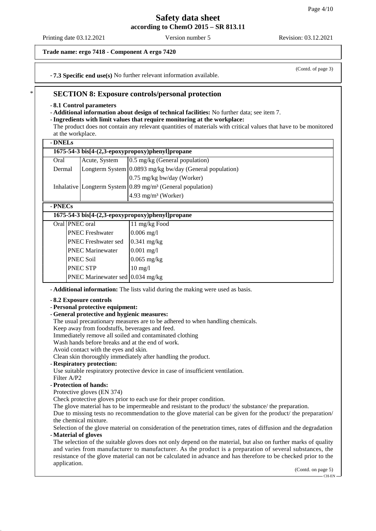Printing date 03.12.2021 Version number 5 Revision: 03.12.2021

## **Trade name: ergo 7418 - Component A ergo 7420**

(Contd. of page 3)

- **7.3 Specific end use(s)** No further relevant information available.

## **SECTION 8: Exposure controls/personal protection**

- **8.1 Control parameters**

- **Additional information about design of technical facilities:** No further data; see item 7.

## - **Ingredients with limit values that require monitoring at the workplace:**

The product does not contain any relevant quantities of materials with critical values that have to be monitored at the workplace.

| - DNELs                                          |                                                  |                                                                       |  |
|--------------------------------------------------|--------------------------------------------------|-----------------------------------------------------------------------|--|
| 1675-54-3 bis[4-(2,3-epoxypropoxy)phenyl]propane |                                                  |                                                                       |  |
| Oral                                             | Acute, System                                    | 0.5 mg/kg (General population)                                        |  |
| Dermal                                           |                                                  | Longterm System 0.0893 mg/kg bw/day (General population)              |  |
|                                                  |                                                  | 0.75 mg/kg bw/day (Worker)                                            |  |
|                                                  |                                                  | Inhalative Longterm System $0.89 \text{ mg/m}^3$ (General population) |  |
|                                                  |                                                  | $4.93$ mg/m <sup>3</sup> (Worker)                                     |  |
| - PNECs                                          |                                                  |                                                                       |  |
|                                                  | 1675-54-3 bis[4-(2,3-epoxypropoxy)phenyl]propane |                                                                       |  |
|                                                  | Oral PNEC oral                                   | 11 mg/kg Food                                                         |  |
|                                                  | <b>PNEC</b> Freshwater                           | $0.006 \text{ mg}/1$                                                  |  |
|                                                  | <b>PNEC</b> Freshwater sed                       | $0.341$ mg/kg                                                         |  |
|                                                  | <b>PNEC Marinewater</b>                          | $0.001$ mg/l                                                          |  |
|                                                  | <b>PNEC Soil</b>                                 | $0.065$ mg/kg                                                         |  |
|                                                  | <b>PNEC STP</b>                                  | $10 \text{ mg/l}$                                                     |  |
|                                                  | PNEC Marinewater sed 0.034 mg/kg                 |                                                                       |  |

- **Additional information:** The lists valid during the making were used as basis.

- **8.2 Exposure controls**

- **Personal protective equipment:**
- **General protective and hygienic measures:**

The usual precautionary measures are to be adhered to when handling chemicals.

Keep away from foodstuffs, beverages and feed.

Immediately remove all soiled and contaminated clothing

Wash hands before breaks and at the end of work.

Avoid contact with the eyes and skin.

Clean skin thoroughly immediately after handling the product.

#### - **Respiratory protection:**

Use suitable respiratory protective device in case of insufficient ventilation. Filter A/P2

#### - **Protection of hands:**

Protective gloves (EN 374)

Check protective gloves prior to each use for their proper condition.

The glove material has to be impermeable and resistant to the product/ the substance/ the preparation.

Due to missing tests no recommendation to the glove material can be given for the product/ the preparation/ the chemical mixture.

Selection of the glove material on consideration of the penetration times, rates of diffusion and the degradation - **Material of gloves**

The selection of the suitable gloves does not only depend on the material, but also on further marks of quality and varies from manufacturer to manufacturer. As the product is a preparation of several substances, the resistance of the glove material can not be calculated in advance and has therefore to be checked prior to the application.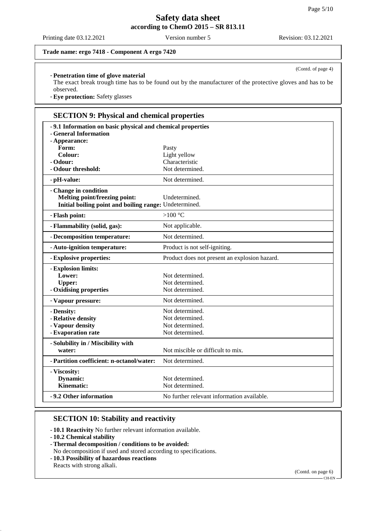Printing date 03.12.2021 Version number 5 Revision: 03.12.2021

(Contd. of page 4)

## **Trade name: ergo 7418 - Component A ergo 7420**

## - **Penetration time of glove material**

The exact break trough time has to be found out by the manufacturer of the protective gloves and has to be observed.

- **Eye protection:** Safety glasses

# **SECTION 9: Physical and chemical properties**

| - 9.1 Information on basic physical and chemical properties<br>- General Information<br>- Appearance:                   |                                               |
|-------------------------------------------------------------------------------------------------------------------------|-----------------------------------------------|
| Form:                                                                                                                   | Pasty                                         |
| <b>Colour:</b>                                                                                                          | Light yellow                                  |
| - Odour:                                                                                                                | Characteristic                                |
| - Odour threshold:                                                                                                      | Not determined.                               |
| - pH-value:                                                                                                             | Not determined.                               |
| - Change in condition<br><b>Melting point/freezing point:</b><br>Initial boiling point and boiling range: Undetermined. | Undetermined.                                 |
| - Flash point:                                                                                                          | > $100^{\circ}$ C                             |
| - Flammability (solid, gas):                                                                                            | Not applicable.                               |
| - Decomposition temperature:                                                                                            | Not determined.                               |
| - Auto-ignition temperature:                                                                                            | Product is not self-igniting.                 |
| - Explosive properties:                                                                                                 | Product does not present an explosion hazard. |
| - Explosion limits:                                                                                                     |                                               |
| Lower:                                                                                                                  | Not determined.                               |
| <b>Upper:</b>                                                                                                           | Not determined.                               |
| - Oxidising properties                                                                                                  | Not determined.                               |
| - Vapour pressure:                                                                                                      | Not determined.                               |
| - Density:                                                                                                              | Not determined.                               |
| - Relative density                                                                                                      | Not determined.                               |
| - Vapour density                                                                                                        | Not determined.                               |
| - Evaporation rate                                                                                                      | Not determined.                               |
| - Solubility in / Miscibility with                                                                                      |                                               |
| water:                                                                                                                  | Not miscible or difficult to mix.             |
| - Partition coefficient: n-octanol/water:                                                                               | Not determined.                               |
| - Viscosity:                                                                                                            |                                               |
| Dynamic:                                                                                                                | Not determined.                               |
| <b>Kinematic:</b>                                                                                                       | Not determined.                               |
| -9.2 Other information                                                                                                  | No further relevant information available.    |

## **SECTION 10: Stability and reactivity**

- **10.1 Reactivity** No further relevant information available.

- **10.2 Chemical stability**
- **Thermal decomposition / conditions to be avoided:**
- No decomposition if used and stored according to specifications.
- **10.3 Possibility of hazardous reactions**

Reacts with strong alkali.

(Contd. on page 6)

<sup>–&</sup>lt;br>CH-EN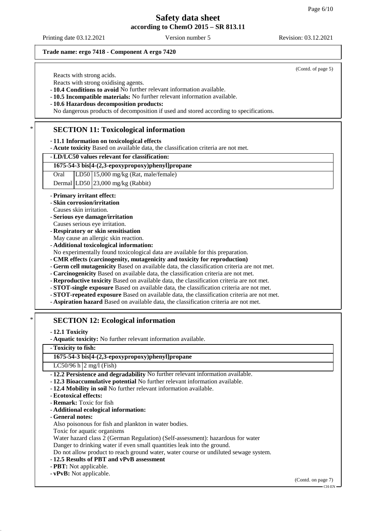#### **Trade name: ergo 7418 - Component A ergo 7420**

Reacts with strong acids.

Reacts with strong oxidising agents.

- **10.4 Conditions to avoid** No further relevant information available.

- **10.5 Incompatible materials:** No further relevant information available.

- **10.6 Hazardous decomposition products:**

No dangerous products of decomposition if used and stored according to specifications.

## **SECTION 11: Toxicological information**

### - **11.1 Information on toxicological effects**

- **Acute toxicity** Based on available data, the classification criteria are not met.

## - **LD/LC50 values relevant for classification:**

## **1675-54-3 bis[4-(2,3-epoxypropoxy)phenyl]propane**

Oral LD50 15,000 mg/kg (Rat, male/female)

Dermal LD50 23,000 mg/kg (Rabbit)

#### - **Primary irritant effect:**

- **Skin corrosion/irritation**
- Causes skin irritation.
- **Serious eye damage/irritation**
- Causes serious eye irritation.
- **Respiratory or skin sensitisation**
- May cause an allergic skin reaction.
- **Additional toxicological information:**
- No experimentally found toxicological data are available for this preparation.
- **CMR effects (carcinogenity, mutagenicity and toxicity for reproduction)**
- **Germ cell mutagenicity** Based on available data, the classification criteria are not met.
- **Carcinogenicity** Based on available data, the classification criteria are not met.
- **Reproductive toxicity** Based on available data, the classification criteria are not met.
- **STOT-single exposure** Based on available data, the classification criteria are not met.
- **STOT-repeated exposure** Based on available data, the classification criteria are not met.
- **Aspiration hazard** Based on available data, the classification criteria are not met.

## **SECTION 12: Ecological information**

- **12.1 Toxicity**

- **Aquatic toxicity:** No further relevant information available.

- **Toxicity to fish:**

#### **1675-54-3 bis[4-(2,3-epoxypropoxy)phenyl]propane**

LC50/96 h  $2$  mg/l (Fish)

- **12.2 Persistence and degradability** No further relevant information available.

- **12.3 Bioaccumulative potential** No further relevant information available.
- **12.4 Mobility in soil** No further relevant information available.
- **Ecotoxical effects:**
- **Remark:** Toxic for fish
- **Additional ecological information:**
- **General notes:**

Also poisonous for fish and plankton in water bodies.

Toxic for aquatic organisms

Water hazard class 2 (German Regulation) (Self-assessment): hazardous for water

Danger to drinking water if even small quantities leak into the ground.

Do not allow product to reach ground water, water course or undiluted sewage system.

- **12.5 Results of PBT and vPvB assessment**
- **PBT:** Not applicable.

- **vPvB:** Not applicable.

(Contd. on page 7)

#### (Contd. of page 5)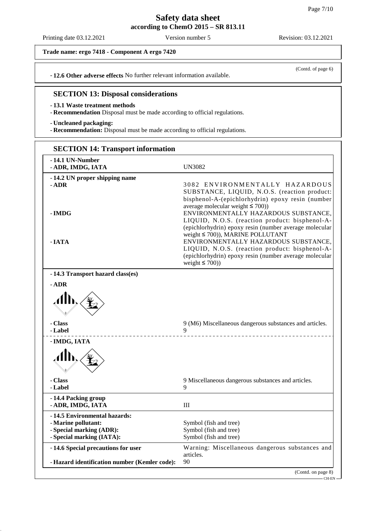Printing date 03.12.2021 Version number 5 Revision: 03.12.2021

(Contd. of page 6)

**Trade name: ergo 7418 - Component A ergo 7420**

- **12.6 Other adverse effects** No further relevant information available.

## **SECTION 13: Disposal considerations**

#### - **13.1 Waste treatment methods**

- **Recommendation** Disposal must be made according to official regulations.

- **Uncleaned packaging:**

- **Recommendation:** Disposal must be made according to official regulations.

| -14.1 UN-Number                               |                                                                                        |
|-----------------------------------------------|----------------------------------------------------------------------------------------|
| - ADR, IMDG, IATA                             | <b>UN3082</b>                                                                          |
| -14.2 UN proper shipping name                 |                                                                                        |
| $-$ ADR                                       | 3082 ENVIRONMENTALLY HAZARDOUS                                                         |
|                                               | SUBSTANCE, LIQUID, N.O.S. (reaction product:                                           |
|                                               | bisphenol-A-(epichlorhydrin) epoxy resin (number                                       |
|                                               | average molecular weight $\leq 700$ )                                                  |
| - IMDG                                        | ENVIRONMENTALLY HAZARDOUS SUBSTANCE,                                                   |
|                                               | LIQUID, N.O.S. (reaction product: bisphenol-A-                                         |
|                                               | (epichlorhydrin) epoxy resin (number average molecular                                 |
|                                               | weight ≤ 700)), MARINE POLLUTANT                                                       |
| - IATA                                        | ENVIRONMENTALLY HAZARDOUS SUBSTANCE,<br>LIQUID, N.O.S. (reaction product: bisphenol-A- |
|                                               | (epichlorhydrin) epoxy resin (number average molecular                                 |
|                                               | weight $\leq$ 700))                                                                    |
| -14.3 Transport hazard class(es)              |                                                                                        |
| $-$ ADR                                       |                                                                                        |
|                                               |                                                                                        |
| - Class                                       | 9 (M6) Miscellaneous dangerous substances and articles.                                |
| - Label                                       | 9<br>________________________                                                          |
| - IMDG, IATA                                  |                                                                                        |
|                                               |                                                                                        |
| - Class                                       | 9 Miscellaneous dangerous substances and articles.                                     |
| - Label                                       | 9                                                                                      |
| -14.4 Packing group                           |                                                                                        |
| - ADR, IMDG, IATA                             | Ш                                                                                      |
| -14.5 Environmental hazards:                  |                                                                                        |
| - Marine pollutant:                           | Symbol (fish and tree)                                                                 |
| - Special marking (ADR):                      | Symbol (fish and tree)                                                                 |
| - Special marking (IATA):                     | Symbol (fish and tree)                                                                 |
| -14.6 Special precautions for user            | Warning: Miscellaneous dangerous substances and                                        |
|                                               | articles.                                                                              |
| - Hazard identification number (Kemler code): | 90                                                                                     |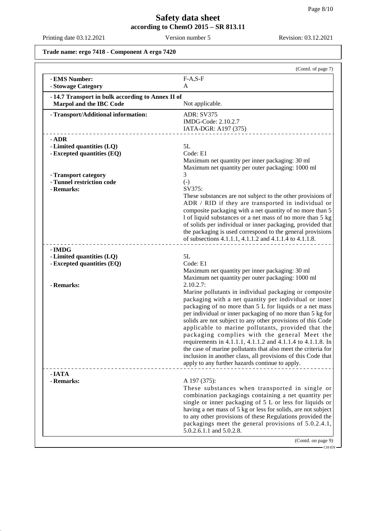Printing date 03.12.2021 Version number 5 Revision: 03.12.2021

**Trade name: ergo 7418 - Component A ergo 7420**

|                                                  | (Contd. of page 7)                                                                                                        |
|--------------------------------------------------|---------------------------------------------------------------------------------------------------------------------------|
| - EMS Number:                                    | $F-A, S-F$                                                                                                                |
| - Stowage Category                               | A                                                                                                                         |
| -14.7 Transport in bulk according to Annex II of |                                                                                                                           |
| Marpol and the IBC Code                          | Not applicable.                                                                                                           |
| - Transport/Additional information:              | <b>ADR: SV375</b>                                                                                                         |
|                                                  | IMDG-Code: 2.10.2.7                                                                                                       |
|                                                  | IATA-DGR: A197 (375)                                                                                                      |
| $-$ ADR                                          |                                                                                                                           |
| - Limited quantities (LQ)                        | 5L                                                                                                                        |
| - Excepted quantities (EQ)                       | Code: E1                                                                                                                  |
|                                                  | Maximum net quantity per inner packaging: 30 ml                                                                           |
|                                                  | Maximum net quantity per outer packaging: 1000 ml                                                                         |
| - Transport category                             | 3                                                                                                                         |
| - Tunnel restriction code                        | $(-)$                                                                                                                     |
| - Remarks:                                       | SV375:                                                                                                                    |
|                                                  | These substances are not subject to the other provisions of                                                               |
|                                                  | ADR / RID if they are transported in individual or                                                                        |
|                                                  | composite packaging with a net quantity of no more than 5                                                                 |
|                                                  | 1 of liquid substances or a net mass of no more than 5 kg                                                                 |
|                                                  | of solids per individual or inner packaging, provided that                                                                |
|                                                  | the packaging is used correspond to the general provisions                                                                |
|                                                  | of subsections 4.1.1.1, 4.1.1.2 and 4.1.1.4 to 4.1.1.8.                                                                   |
| - IMDG                                           |                                                                                                                           |
| - Limited quantities (LQ)                        | 5L                                                                                                                        |
| - Excepted quantities (EQ)                       | Code: E1                                                                                                                  |
|                                                  | Maximum net quantity per inner packaging: 30 ml                                                                           |
|                                                  | Maximum net quantity per outer packaging: 1000 ml                                                                         |
| - Remarks:                                       | 2.10.2.7:                                                                                                                 |
|                                                  | Marine pollutants in individual packaging or composite                                                                    |
|                                                  | packaging with a net quantity per individual or inner                                                                     |
|                                                  | packaging of no more than 5 L for liquids or a net mass                                                                   |
|                                                  | per individual or inner packaging of no more than 5 kg for<br>solids are not subject to any other provisions of this Code |
|                                                  | applicable to marine pollutants, provided that the                                                                        |
|                                                  | packaging complies with the general Meet the                                                                              |
|                                                  | requirements in 4.1.1.1, 4.1.1.2 and 4.1.1.4 to 4.1.1.8. In                                                               |
|                                                  | the case of marine pollutants that also meet the criteria for                                                             |
|                                                  | inclusion in another class, all provisions of this Code that                                                              |
|                                                  | apply to any further hazards continue to apply.                                                                           |
| - IATA                                           |                                                                                                                           |
| - Remarks:                                       | A 197 (375):                                                                                                              |
|                                                  | These substances when transported in single or                                                                            |
|                                                  | combination packagings containing a net quantity per                                                                      |
|                                                  | single or inner packaging of 5 L or less for liquids or                                                                   |
|                                                  | having a net mass of 5 kg or less for solids, are not subject                                                             |
|                                                  | to any other provisions of these Regulations provided the                                                                 |
|                                                  | packagings meet the general provisions of 5.0.2.4.1,                                                                      |
|                                                  | 5.0.2.6.1.1 and 5.0.2.8.                                                                                                  |
|                                                  | (Contd. on page 9)                                                                                                        |

 $-$  CH-EN $-$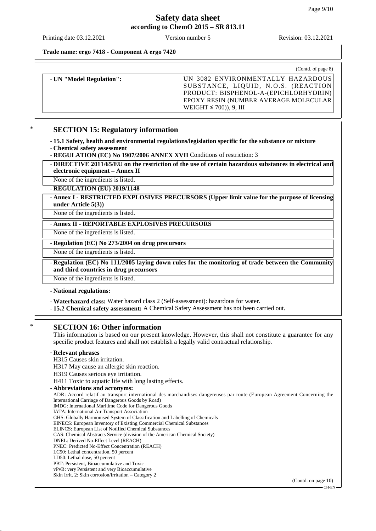Printing date 03.12.2021 Version number 5 Revision: 03.12.2021

**Trade name: ergo 7418 - Component A ergo 7420**

|                          | (Contd. of page 8)                                                                                                                                                                         |
|--------------------------|--------------------------------------------------------------------------------------------------------------------------------------------------------------------------------------------|
| - UN "Model Regulation": | UN 3082 ENVIRONMENTALLY HAZARDOUS<br>SUBSTANCE, LIQUID, N.O.S. (REACTION<br>PRODUCT: BISPHENOL-A-(EPICHLORHYDRIN)<br>EPOXY RESIN (NUMBER AVERAGE MOLECULAR)<br>WEIGHT $\leq$ 700)), 9, III |

## **SECTION 15: Regulatory information**

- **15.1 Safety, health and environmental regulations/legislation specific for the substance or mixture**
- **Chemical safety assessment**
- **REGULATION (EC) No 1907/2006 ANNEX XVII** Conditions of restriction: 3

- **DIRECTIVE 2011/65/EU on the restriction of the use of certain hazardous substances in electrical and electronic equipment – Annex II**

None of the ingredients is listed.

- **REGULATION (EU) 2019/1148**

- **Annex I - RESTRICTED EXPLOSIVES PRECURSORS (Upper limit value for the purpose of licensing under Article 5(3))**

None of the ingredients is listed.

- **Annex II - REPORTABLE EXPLOSIVES PRECURSORS**

None of the ingredients is listed.

- **Regulation (EC) No 273/2004 on drug precursors**

None of the ingredients is listed.

- **Regulation (EC) No 111/2005 laying down rules for the monitoring of trade between the Community and third countries in drug precursors**

None of the ingredients is listed.

- **National regulations:**

- **Waterhazard class:** Water hazard class 2 (Self-assessment): hazardous for water.
- **15.2 Chemical safety assessment:** A Chemical Safety Assessment has not been carried out.

## **SECTION 16: Other information**

This information is based on our present knowledge. However, this shall not constitute a guarantee for any specific product features and shall not establish a legally valid contractual relationship.

#### - **Relevant phrases**

- H315 Causes skin irritation.
- H317 May cause an allergic skin reaction.
- H319 Causes serious eye irritation.

H411 Toxic to aquatic life with long lasting effects.

- **Abbreviations and acronyms:**

ADR: Accord relatif au transport international des marchandises dangereuses par route (European Agreement Concerning the International Carriage of Dangerous Goods by Road) IMDG: International Maritime Code for Dangerous Goods IATA: International Air Transport Association GHS: Globally Harmonised System of Classification and Labelling of Chemicals EINECS: European Inventory of Existing Commercial Chemical Substances ELINCS: European List of Notified Chemical Substances CAS: Chemical Abstracts Service (division of the American Chemical Society) DNEL: Derived No-Effect Level (REACH) PNEC: Predicted No-Effect Concentration (REACH) LC50: Lethal concentration, 50 percent

- LD50: Lethal dose, 50 percent
- PBT: Persistent, Bioaccumulative and Toxic vPvB: very Persistent and very Bioaccumulative
- Skin Irrit. 2: Skin corrosion/irritation Category 2

(Contd. on page 10)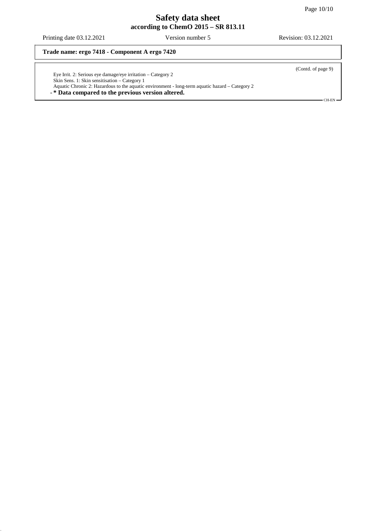Printing date 03.12.2021 Version number 5 Revision: 03.12.2021

**Trade name: ergo 7418 - Component A ergo 7420**

Eye Irrit. 2: Serious eye damage/eye irritation – Category 2 Skin Sens. 1: Skin sensitisation – Category 1 Aquatic Chronic 2: Hazardous to the aquatic environment - long-term aquatic hazard – Category 2

- **\* Data compared to the previous version altered.**

(Contd. of page 9)

CH-EN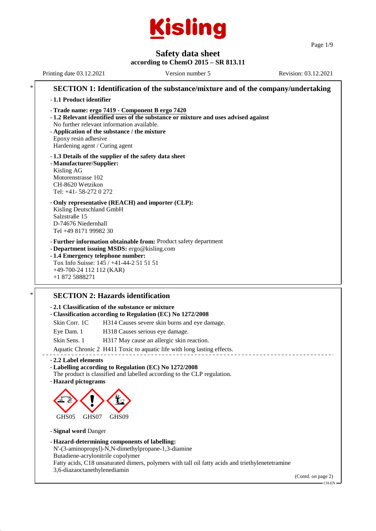

Page 1/9

# **Safety data sheet**

**according to ChemO 2015 – SR 813.11** Printing date 03.12.2021 Version number 5 Revision: 03.12.2021 **SECTION 1: Identification of the substance/mixture and of the company/undertaking** - **1.1 Product identifier** - **Trade name: ergo 7419 - Component B ergo 7420** - **1.2 Relevant identified uses of the substance or mixture and uses advised against** No further relevant information available. - **Application of the substance / the mixture** Epoxy resin adhesive Hardening agent / Curing agent - **1.3 Details of the supplier of the safety data sheet** - **Manufacturer/Supplier:** Kisling AG Motorenstrasse 102 CH-8620 Wetzikon Tel: +41- 58-272 0 272 - **Only representative (REACH) and importer (CLP):** Kisling Deutschland GmbH Salzstraße 15 D-74676 Niedernhall Tel +49 8171 99982 30 - **Further information obtainable from:** Product safety department - **Department issuing MSDS:** ergo@kisling.com - **1.4 Emergency telephone number:** Tox Info Suisse: 145 / +41-44-2 51 51 51 +49-700-24 112 112 (KAR) +1 872 5888271 **SECTION 2: Hazards identification** - **2.1 Classification of the substance or mixture** - **Classification according to Regulation (EC) No 1272/2008**

- Skin Corr. 1C H314 Causes severe skin burns and eye damage.
- Eye Dam. 1 H318 Causes serious eye damage.
- Skin Sens. 1 H317 May cause an allergic skin reaction.
- Aquatic Chronic 2 H411 Toxic to aquatic life with long lasting effects.
- **2.2 Label elements**

## - **Labelling according to Regulation (EC) No 1272/2008**

- The product is classified and labelled according to the CLP regulation.
- **Hazard pictograms**



- **Signal word** Danger

- **Hazard-determining components of labelling:** N'-(3-aminopropyl)-N,N-dimethylpropane-1,3-diamine Butadiene-acrylonitrile copolymer Fatty acids, C18 unsaturated dimers, polymers with tall oil fatty acids and triethylenetetramine 3,6-diazaoctanethylenediamin

(Contd. on page 2)

CH-EN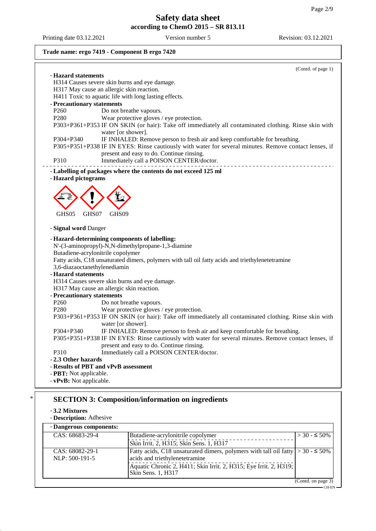# **Trade name: ergo 7419 - Component B ergo 7420**

|                                                | (Contd. of page 1)                                                                                                                               |  |  |  |
|------------------------------------------------|--------------------------------------------------------------------------------------------------------------------------------------------------|--|--|--|
| - Hazard statements                            |                                                                                                                                                  |  |  |  |
|                                                | H314 Causes severe skin burns and eye damage.                                                                                                    |  |  |  |
|                                                | H317 May cause an allergic skin reaction.                                                                                                        |  |  |  |
|                                                | H411 Toxic to aquatic life with long lasting effects.                                                                                            |  |  |  |
| - Precautionary statements<br>P <sub>260</sub> |                                                                                                                                                  |  |  |  |
| P <sub>280</sub>                               | Do not breathe vapours.                                                                                                                          |  |  |  |
|                                                | Wear protective gloves / eye protection.<br>P303+P361+P353 IF ON SKIN (or hair): Take off immediately all contaminated clothing. Rinse skin with |  |  |  |
|                                                | water [or shower].                                                                                                                               |  |  |  |
| P304+P340                                      | IF INHALED: Remove person to fresh air and keep comfortable for breathing.                                                                       |  |  |  |
|                                                | P305+P351+P338 IF IN EYES: Rinse cautiously with water for several minutes. Remove contact lenses, if                                            |  |  |  |
|                                                | present and easy to do. Continue rinsing.                                                                                                        |  |  |  |
| P310                                           | Immediately call a POISON CENTER/doctor.                                                                                                         |  |  |  |
|                                                |                                                                                                                                                  |  |  |  |
| - Hazard pictograms                            | - Labelling of packages where the contents do not exceed 125 ml                                                                                  |  |  |  |
|                                                |                                                                                                                                                  |  |  |  |
|                                                |                                                                                                                                                  |  |  |  |
|                                                |                                                                                                                                                  |  |  |  |
|                                                |                                                                                                                                                  |  |  |  |
| GHS05                                          | GHS07<br>GHS09                                                                                                                                   |  |  |  |
|                                                |                                                                                                                                                  |  |  |  |
| - Signal word Danger                           |                                                                                                                                                  |  |  |  |
|                                                | - Hazard-determining components of labelling:                                                                                                    |  |  |  |
|                                                | N'-(3-aminopropyl)-N,N-dimethylpropane-1,3-diamine                                                                                               |  |  |  |
|                                                | Butadiene-acrylonitrile copolymer                                                                                                                |  |  |  |
|                                                | Fatty acids, C18 unsaturated dimers, polymers with tall oil fatty acids and triethylenetetramine                                                 |  |  |  |
|                                                | 3,6-diazaoctanethylenediamin                                                                                                                     |  |  |  |
|                                                | - Hazard statements                                                                                                                              |  |  |  |
| H314 Causes severe skin burns and eye damage.  |                                                                                                                                                  |  |  |  |
|                                                | H317 May cause an allergic skin reaction.                                                                                                        |  |  |  |
| - Precautionary statements                     |                                                                                                                                                  |  |  |  |
| P <sub>260</sub>                               | Do not breathe vapours.                                                                                                                          |  |  |  |
| P280                                           | Wear protective gloves / eye protection.                                                                                                         |  |  |  |
|                                                | P303+P361+P353 IF ON SKIN (or hair): Take off immediately all contaminated clothing. Rinse skin with                                             |  |  |  |
|                                                | water [or shower].                                                                                                                               |  |  |  |
| P304+P340                                      | IF INHALED: Remove person to fresh air and keep comfortable for breathing.                                                                       |  |  |  |
|                                                | P305+P351+P338 IF IN EYES: Rinse cautiously with water for several minutes. Remove contact lenses, if                                            |  |  |  |
|                                                | present and easy to do. Continue rinsing.                                                                                                        |  |  |  |
| P310                                           | Immediately call a POISON CENTER/doctor.                                                                                                         |  |  |  |
| -2.3 Other hazards                             |                                                                                                                                                  |  |  |  |
|                                                | - Results of PBT and vPvB assessment                                                                                                             |  |  |  |
| - PBT: Not applicable.                         |                                                                                                                                                  |  |  |  |
| - vPvB: Not applicable.                        |                                                                                                                                                  |  |  |  |

# \* **SECTION 3: Composition/information on ingredients**

- **3.2 Mixtures**

- **Description:** Adhesive

| - Dangerous components: |                                                                                         |                     |
|-------------------------|-----------------------------------------------------------------------------------------|---------------------|
| CAS: 68683-29-4         | Butadiene-acrylonitrile copolymer                                                       | $>$ 30 - $\leq$ 50% |
|                         | Skin Irrit. 2, H315; Skin Sens. 1, H317                                                 |                     |
| CAS: 68082-29-1         | Fatty acids, C18 unsaturated dimers, polymers with tall oil fatty $  > 30 - 50\%$       |                     |
| NLP: 500-191-5          | acids and triethylenetetramine                                                          |                     |
|                         | Aquatic Chronic 2, H411; Skin Irrit. 2, H315; Eye Irrit. 2, H319;<br>Skin Sens. 1, H317 |                     |
|                         |                                                                                         | (Contd. on page 3)  |

 $-$ CH-EN $-$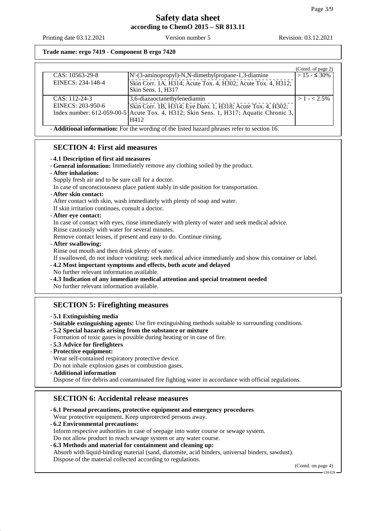**Trade name: ergo 7419 - Component B ergo 7420**

|                                                                                                    |                                                                                       | (Contd. of page 2) |
|----------------------------------------------------------------------------------------------------|---------------------------------------------------------------------------------------|--------------------|
| CAS: 10563-29-8                                                                                    | N'-(3-aminopropyl)-N,N-dimethylpropane-1,3-diamine                                    | $> 15 - 5.30\%$    |
| EINECS: 234-148-4                                                                                  | Skin Corr. 1A, H314; Acute Tox. 4, H302; Acute Tox. 4, H312;<br>Skin Sens. 1, H317    |                    |
| $CAS: 112-24-3$                                                                                    | 3,6-diazaoctanethylenediamin                                                          | $>1 - 2.5\%$       |
| EINECS: 203-950-6                                                                                  | Skin Corr. 1B, H314; Eye Dam. 1, H318; Acute Tox. 4, H302;                            |                    |
|                                                                                                    | Index number: 612-059-00-5 Acute Tox. 4, H312; Skin Sens. 1, H317; Aquatic Chronic 3, |                    |
|                                                                                                    | H412                                                                                  |                    |
| - <b>Additional information:</b> For the wording of the listed hazard phrases refer to section 16. |                                                                                       |                    |

## **SECTION 4: First aid measures**

#### - **4.1 Description of first aid measures**

- **General information:** Immediately remove any clothing soiled by the product.
- **After inhalation:**
- Supply fresh air and to be sure call for a doctor.
- In case of unconsciousness place patient stably in side position for transportation.

## - **After skin contact:**

After contact with skin, wash immediately with plenty of soap and water.

If skin irritation continues, consult a doctor.

## - **After eye contact:**

In case of contact with eyes, rinse immediately with plenty of water and seek medical advice.

Rinse cautiously with water for several minutes.

Remove contact lenses, if present and easy to do. Continue rinsing.

#### - **After swallowing:**

Rinse out mouth and then drink plenty of water.

If swallowed, do not induce vomiting: seek medical advice immediately and show this container or label.

- **4.2 Most important symptoms and effects, both acute and delayed**

- No further relevant information available.
- **4.3 Indication of any immediate medical attention and special treatment needed**
- No further relevant information available.

# **SECTION 5: Firefighting measures**

#### - **5.1 Extinguishing media**

- **Suitable extinguishing agents:** Use fire extinguishing methods suitable to surrounding conditions.

- **5.2 Special hazards arising from the substance or mixture**
- Formation of toxic gases is possible during heating or in case of fire.
- **5.3 Advice for firefighters**
- **Protective equipment:**
- Wear self-contained respiratory protective device.

Do not inhale explosion gases or combustion gases.

- **Additional information**

Dispose of fire debris and contaminated fire fighting water in accordance with official regulations.

## **SECTION 6: Accidental release measures**

- **6.1 Personal precautions, protective equipment and emergency procedures**
- Wear protective equipment. Keep unprotected persons away.
- **6.2 Environmental precautions:**

Inform respective authorities in case of seepage into water course or sewage system.

- Do not allow product to reach sewage system or any water course.
- **6.3 Methods and material for containment and cleaning up:** Absorb with liquid-binding material (sand, diatomite, acid binders, universal binders, sawdust). Dispose of the material collected according to regulations.

(Contd. on page 4) CH-EN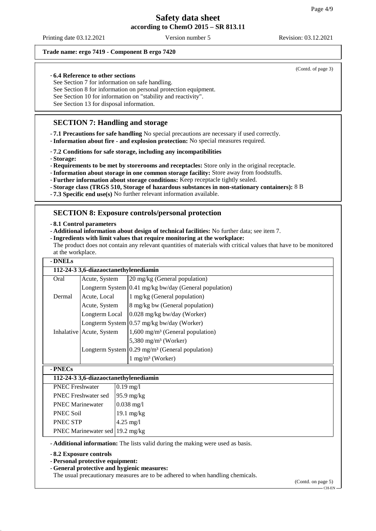#### **Trade name: ergo 7419 - Component B ergo 7420**

#### - **6.4 Reference to other sections**

See Section 7 for information on safe handling.

See Section 8 for information on personal protection equipment.

See Section 10 for information on "stability and reactivity".

See Section 13 for disposal information.

# **SECTION 7: Handling and storage**

- **7.1 Precautions for safe handling** No special precautions are necessary if used correctly.

- **Information about fire - and explosion protection:** No special measures required.

- **7.2 Conditions for safe storage, including any incompatibilities**

- **Storage:**

- **Requirements to be met by storerooms and receptacles:** Store only in the original receptacle.

- **Information about storage in one common storage facility:** Store away from foodstuffs.
- **Further information about storage conditions:** Keep receptacle tightly sealed.

- **Storage class (TRGS 510, Storage of hazardous substances in non-stationary containers):** 8 B

- **7.3 Specific end use(s)** No further relevant information available.

## **SECTION 8: Exposure controls/personal protection**

#### - **8.1 Control parameters**

- **Additional information about design of technical facilities:** No further data; see item 7.

- **Ingredients with limit values that require monitoring at the workplace:**

The product does not contain any relevant quantities of materials with critical values that have to be monitored at the workplace.

| - DNELs                               |                |                                                                   |  |  |  |
|---------------------------------------|----------------|-------------------------------------------------------------------|--|--|--|
| 112-24-3 3,6-diazaoctanethylenediamin |                |                                                                   |  |  |  |
| Oral                                  | Acute, System  | 20 mg/kg (General population)                                     |  |  |  |
|                                       |                | Longterm System $(0.41 \text{ mg/kg bw/day}$ (General population) |  |  |  |
| Dermal                                | Acute, Local   | 1 mg/kg (General population)                                      |  |  |  |
|                                       | Acute, System  | 8 mg/kg bw (General population)                                   |  |  |  |
|                                       | Longterm Local | $0.028$ mg/kg bw/day (Worker)                                     |  |  |  |
|                                       |                | Longterm System 0.57 mg/kg bw/day (Worker)                        |  |  |  |
| Inhalative Acute, System              |                | $1,600 \text{ mg/m}^3$ (General population)                       |  |  |  |
|                                       |                | 5,380 mg/m <sup>3</sup> (Worker)                                  |  |  |  |
|                                       |                | Longterm System $0.29 \text{ mg/m}^3$ (General population)        |  |  |  |
|                                       |                | $1 \text{ mg/m}^3$ (Worker)                                       |  |  |  |
| - PNECs                               |                |                                                                   |  |  |  |
| 112-24-3 3,6-diazaoctanethylenediamin |                |                                                                   |  |  |  |
| <b>PNEC</b> Freshwater                |                | $0.19 \text{ mg}/1$                                               |  |  |  |
| <b>PNEC</b> Freshwater sed            |                | $95.9 \text{ mg/kg}$                                              |  |  |  |
| <b>PNEC Marinewater</b>               |                | $0.038 \text{ mg}$                                                |  |  |  |

- **Additional information:** The lists valid during the making were used as basis.

- **8.2 Exposure controls**

- **Personal protective equipment:**

PNEC Soil 19.1 mg/kg PNEC STP  $|4.25 \text{ mg}/1$ PNEC Marinewater sed 19.2 mg/kg

- **General protective and hygienic measures:**

The usual precautionary measures are to be adhered to when handling chemicals.

(Contd. on page 5)

(Contd. of page 3)

CH-EN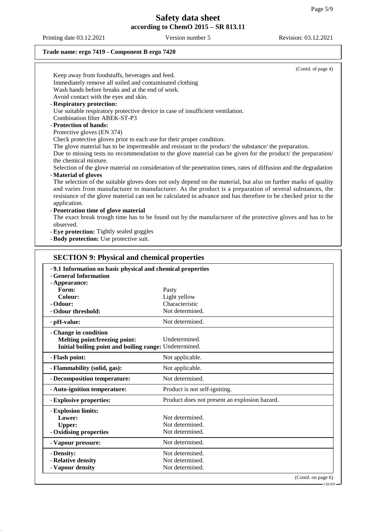Printing date 03.12.2021 Version number 5 Revision: 03.12.2021

## **Trade name: ergo 7419 - Component B ergo 7420**

|              | (Contd. of page 4)                                                                                                                                                                                                                                                                                                                            |
|--------------|-----------------------------------------------------------------------------------------------------------------------------------------------------------------------------------------------------------------------------------------------------------------------------------------------------------------------------------------------|
|              | Keep away from foodstuffs, beverages and feed.                                                                                                                                                                                                                                                                                                |
|              | Immediately remove all soiled and contaminated clothing                                                                                                                                                                                                                                                                                       |
|              | Wash hands before breaks and at the end of work.                                                                                                                                                                                                                                                                                              |
|              | Avoid contact with the eyes and skin.                                                                                                                                                                                                                                                                                                         |
|              | - Respiratory protection:                                                                                                                                                                                                                                                                                                                     |
|              | Use suitable respiratory protective device in case of insufficient ventilation.                                                                                                                                                                                                                                                               |
|              | Combination filter ABEK-ST-P3                                                                                                                                                                                                                                                                                                                 |
|              | - Protection of hands:                                                                                                                                                                                                                                                                                                                        |
|              | Protective gloves (EN 374)                                                                                                                                                                                                                                                                                                                    |
|              | Check protective gloves prior to each use for their proper condition.                                                                                                                                                                                                                                                                         |
|              | The glove material has to be impermeable and resistant to the product/ the substance/ the preparation.                                                                                                                                                                                                                                        |
|              | Due to missing tests no recommendation to the glove material can be given for the product/ the preparation/                                                                                                                                                                                                                                   |
|              | the chemical mixture.                                                                                                                                                                                                                                                                                                                         |
|              | Selection of the glove material on consideration of the penetration times, rates of diffusion and the degradation                                                                                                                                                                                                                             |
|              | - Material of gloves                                                                                                                                                                                                                                                                                                                          |
| application. | The selection of the suitable gloves does not only depend on the material, but also on further marks of quality<br>and varies from manufacturer to manufacturer. As the product is a preparation of several substances, the<br>resistance of the glove material can not be calculated in advance and has therefore to be checked prior to the |
|              | - Penetration time of glove material                                                                                                                                                                                                                                                                                                          |
| observed.    | The exact break trough time has to be found out by the manufacturer of the protective gloves and has to be                                                                                                                                                                                                                                    |
|              | - Eye protection: Tightly sealed goggles                                                                                                                                                                                                                                                                                                      |
|              | - Body protection: Use protective suit.                                                                                                                                                                                                                                                                                                       |

| -9.1 Information on basic physical and chemical properties<br>- General Information |                                               |                    |
|-------------------------------------------------------------------------------------|-----------------------------------------------|--------------------|
| - Appearance:                                                                       |                                               |                    |
| Form:                                                                               | Pasty                                         |                    |
| Colour:                                                                             | Light yellow                                  |                    |
| - Odour:                                                                            | Characteristic                                |                    |
| - Odour threshold:                                                                  | Not determined.                               |                    |
| - pH-value:                                                                         | Not determined.                               |                    |
| - Change in condition                                                               |                                               |                    |
| Melting point/freezing point:                                                       | Undetermined.                                 |                    |
| Initial boiling point and boiling range: Undetermined.                              |                                               |                    |
| - Flash point:                                                                      | Not applicable.                               |                    |
| - Flammability (solid, gas):                                                        | Not applicable.                               |                    |
| - Decomposition temperature:                                                        | Not determined.                               |                    |
| - Auto-ignition temperature:                                                        | Product is not self-igniting.                 |                    |
| - Explosive properties:                                                             | Product does not present an explosion hazard. |                    |
| - Explosion limits:                                                                 |                                               |                    |
| Lower:                                                                              | Not determined.                               |                    |
| <b>Upper:</b>                                                                       | Not determined.                               |                    |
| - Oxidising properties                                                              | Not determined.                               |                    |
| - Vapour pressure:                                                                  | Not determined.                               |                    |
| - Density:                                                                          | Not determined.                               |                    |
| - Relative density                                                                  | Not determined.                               |                    |
| - Vapour density                                                                    | Not determined.                               |                    |
|                                                                                     |                                               | (Contd. on page 6) |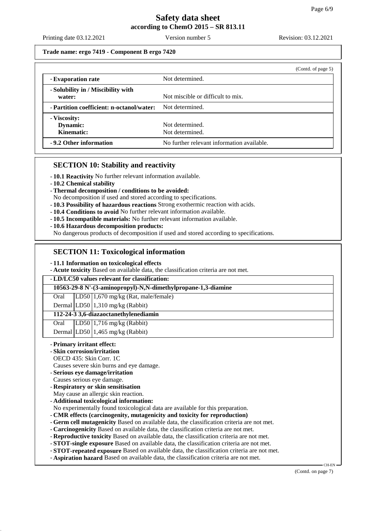Printing date 03.12.2021 Version number 5 Revision: 03.12.2021

### **Trade name: ergo 7419 - Component B ergo 7420**

|                                              | (Contd. of page 5)                         |
|----------------------------------------------|--------------------------------------------|
| - Evaporation rate                           | Not determined.                            |
| - Solubility in / Miscibility with<br>water: | Not miscible or difficult to mix.          |
| - Partition coefficient: n-octanol/water:    | Not determined.                            |
| - Viscosity:<br>Dynamic:<br>Kinematic:       | Not determined.<br>Not determined.         |
| -9.2 Other information                       | No further relevant information available. |

## **SECTION 10: Stability and reactivity**

- **10.1 Reactivity** No further relevant information available.
- **10.2 Chemical stability**
- **Thermal decomposition / conditions to be avoided:**
- No decomposition if used and stored according to specifications.
- **10.3 Possibility of hazardous reactions** Strong exothermic reaction with acids.
- **10.4 Conditions to avoid** No further relevant information available.
- **10.5 Incompatible materials:** No further relevant information available.
- **10.6 Hazardous decomposition products:**

No dangerous products of decomposition if used and stored according to specifications.

## **SECTION 11: Toxicological information**

- **11.1 Information on toxicological effects**
- **Acute toxicity** Based on available data, the classification criteria are not met.

## - **LD/LC50 values relevant for classification:**

#### **10563-29-8 N'-(3-aminopropyl)-N,N-dimethylpropane-1,3-diamine**

Oral LD50 1,670 mg/kg (Rat, male/female)

Dermal LD50 1,310 mg/kg (Rabbit)

### **112-24-3 3,6-diazaoctanethylenediamin**

Oral LD50 1,716 mg/kg (Rabbit)

Dermal LD50  $\left| \frac{1,465 \text{ mg/kg}}{1,460 \text{ Hz}} \right|$ 

- **Primary irritant effect:**
- **Skin corrosion/irritation**
- OECD 435: Skin Corr. 1C
- Causes severe skin burns and eye damage.
- **Serious eye damage/irritation**
- Causes serious eye damage.
- **Respiratory or skin sensitisation**
- May cause an allergic skin reaction.
- **Additional toxicological information:**
- No experimentally found toxicological data are available for this preparation.
- **CMR effects (carcinogenity, mutagenicity and toxicity for reproduction)**
- **Germ cell mutagenicity** Based on available data, the classification criteria are not met.
- **Carcinogenicity** Based on available data, the classification criteria are not met.
- **Reproductive toxicity** Based on available data, the classification criteria are not met.
- **STOT-single exposure** Based on available data, the classification criteria are not met.
- **STOT-repeated exposure** Based on available data, the classification criteria are not met.
- **Aspiration hazard** Based on available data, the classification criteria are not met.

(Contd. on page 7)

CH-EN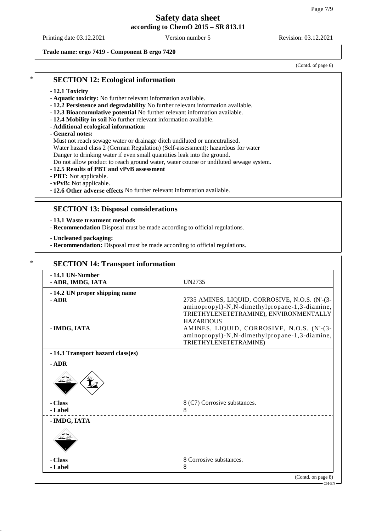#### **Trade name: ergo 7419 - Component B ergo 7420**

(Contd. of page 6)

## **SECTION 12: Ecological information**

- **12.1 Toxicity**
- **Aquatic toxicity:** No further relevant information available.
- **12.2 Persistence and degradability** No further relevant information available.
- **12.3 Bioaccumulative potential** No further relevant information available.
- **12.4 Mobility in soil** No further relevant information available.
- **Additional ecological information:**

### - **General notes:**

Must not reach sewage water or drainage ditch undiluted or unneutralised.

Water hazard class 2 (German Regulation) (Self-assessment): hazardous for water

Danger to drinking water if even small quantities leak into the ground.

Do not allow product to reach ground water, water course or undiluted sewage system.

- **12.5 Results of PBT and vPvB assessment**
- **PBT:** Not applicable.
- **vPvB:** Not applicable.
- **12.6 Other adverse effects** No further relevant information available.

## **SECTION 13: Disposal considerations**

- **13.1 Waste treatment methods**
- **Recommendation** Disposal must be made according to official regulations.
- **Uncleaned packaging:**
- **Recommendation:** Disposal must be made according to official regulations.

## **SECTION 14: Transport information**

| -14.1 UN-Number<br>- ADR, IMDG, IATA     | UN2735                                                                                                                                                                              |
|------------------------------------------|-------------------------------------------------------------------------------------------------------------------------------------------------------------------------------------|
| -14.2 UN proper shipping name<br>$-$ ADR | 2735 AMINES, LIQUID, CORROSIVE, N.O.S. (N'-(3-<br>aminopropyl)-N, N-dimethylpropane-1, 3-diamine,                                                                                   |
| - IMDG, IATA                             | TRIETHYLENETETRAMINE), ENVIRONMENTALLY<br><b>HAZARDOUS</b><br>AMINES, LIQUID, CORROSIVE, N.O.S. (N'-(3-<br>aminopropyl)-N, N-dimethylpropane-1, 3-diamine,<br>TRIETHYLENETETRAMINE) |
| -14.3 Transport hazard class(es)         |                                                                                                                                                                                     |
| $-$ ADR                                  |                                                                                                                                                                                     |
|                                          |                                                                                                                                                                                     |
| - Class                                  | 8 (C7) Corrosive substances.                                                                                                                                                        |
| - Label                                  | 8                                                                                                                                                                                   |
| - IMDG, IATA                             |                                                                                                                                                                                     |
|                                          |                                                                                                                                                                                     |
| - Class                                  | 8 Corrosive substances.                                                                                                                                                             |
| - Label                                  | 8                                                                                                                                                                                   |
|                                          | (Contd. on page 8)                                                                                                                                                                  |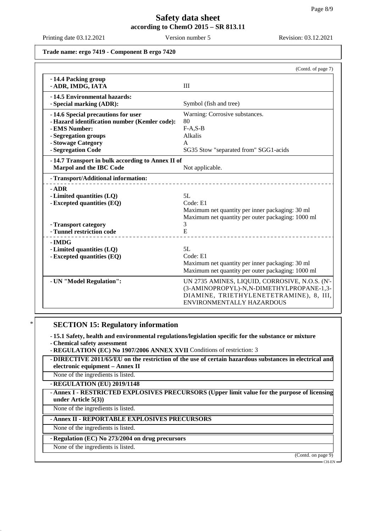Printing date 03.12.2021 Version number 5 Revision: 03.12.2021

### **Trade name: ergo 7419 - Component B ergo 7420**

|                                                                                                                                                                          | (Contd. of page 7)                                                                                                                                                        |
|--------------------------------------------------------------------------------------------------------------------------------------------------------------------------|---------------------------------------------------------------------------------------------------------------------------------------------------------------------------|
| -14.4 Packing group<br>- ADR, IMDG, IATA                                                                                                                                 | III                                                                                                                                                                       |
| -14.5 Environmental hazards:<br>- Special marking (ADR):                                                                                                                 | Symbol (fish and tree)                                                                                                                                                    |
| -14.6 Special precautions for user<br>- Hazard identification number (Kemler code):<br>- EMS Number:<br>- Segregation groups<br>- Stowage Category<br>- Segregation Code | Warning: Corrosive substances.<br>80<br>$F-A, S-B$<br>Alkalis<br>A<br>SG35 Stow "separated from" SGG1-acids                                                               |
| -14.7 Transport in bulk according to Annex II of<br>Marpol and the IBC Code                                                                                              | Not applicable.                                                                                                                                                           |
| - Transport/Additional information:                                                                                                                                      |                                                                                                                                                                           |
| $-$ ADR<br>- Limited quantities (LQ)<br>- Excepted quantities (EQ)<br>- Transport category                                                                               | 5L<br>Code: E1<br>Maximum net quantity per inner packaging: 30 ml<br>Maximum net quantity per outer packaging: 1000 ml<br>3                                               |
| - Tunnel restriction code                                                                                                                                                | E                                                                                                                                                                         |
| - IMDG<br>- Limited quantities (LQ)<br>- Excepted quantities (EQ)                                                                                                        | 5L<br>Code: E1<br>Maximum net quantity per inner packaging: 30 ml<br>Maximum net quantity per outer packaging: 1000 ml                                                    |
| - UN "Model Regulation":                                                                                                                                                 | UN 2735 AMINES, LIQUID, CORROSIVE, N.O.S. (N'-<br>(3-AMINOPROPYL)-N,N-DIMETHYLPROPANE-1,3-<br>DIAMINE, TRIETHYLENETETRAMINE), 8, III,<br><b>ENVIRONMENTALLY HAZARDOUS</b> |

## **SECTION 15: Regulatory information**

- **15.1 Safety, health and environmental regulations/legislation specific for the substance or mixture**

- **Chemical safety assessment**

- **REGULATION (EC) No 1907/2006 ANNEX XVII** Conditions of restriction: 3

- **DIRECTIVE 2011/65/EU on the restriction of the use of certain hazardous substances in electrical and electronic equipment – Annex II**

None of the ingredients is listed.

- **REGULATION (EU) 2019/1148**

- **Annex I - RESTRICTED EXPLOSIVES PRECURSORS (Upper limit value for the purpose of licensing under Article 5(3))**

None of the ingredients is listed.

- **Annex II - REPORTABLE EXPLOSIVES PRECURSORS**

None of the ingredients is listed.

- **Regulation (EC) No 273/2004 on drug precursors**

None of the ingredients is listed.

(Contd. on page 9) CH-EN